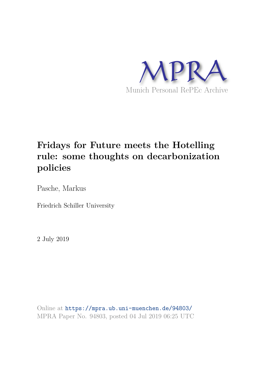

# **Fridays for Future meets the Hotelling rule: some thoughts on decarbonization policies**

Pasche, Markus

Friedrich Schiller University

2 July 2019

Online at https://mpra.ub.uni-muenchen.de/94803/ MPRA Paper No. 94803, posted 04 Jul 2019 06:25 UTC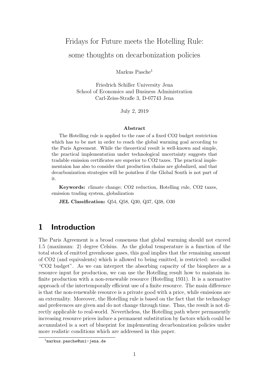# Fridays for Future meets the Hotelling Rule: some thoughts on decarbonization policies

Markus Pasche<sup>1</sup>

Friedrich Schiller University Jena School of Economics and Business Administration Carl-Zeiss-Straße 3, D-07743 Jena

July 2, 2019

#### Abstract

The Hotelling rule is applied to the case of a fixed CO2 budget restriction which has to be met in order to reach the global warming goal according to the Paris Agreement. While the theoretical result is well-known and simple, the practical implementation under technological uncertainty suggests that tradable emission certificates are superior to CO2 taxes. The practical implementaion has also to consider that production chains are globalized, and that decarbonization strategies will be pointless if the Global South is not part of it.

Keywords: climate change; CO2 reduction, Hotelling rule, CO2 taxes, emission trading system, globalization

JEL Classification: Q54, Q58, Q30, Q37, Q38, O30

# 1 Introduction

The Paris Agreement is a broad consensus that global warming should not exceed 1.5 (maximum: 2) degree Celsius. As the global temperature is a function of the total stock of emitted greenhouse gases, this goal implies that the remaining amount of CO2 (and equivalents) which is allowed to being emitted, is restricted: so-called "CO2 budget". As we can interpret the absorbing capacity of the biosphere as a resource input for production, we can use the Hotelling result how to maintain infinite production with a non-renewable resource (Hotelling 1931). It is a normative approach of the intertemporally efficient use of a finite resource. The main difference is that the non-renewable resource is a private good with a price, while emissions are an externality. Moreover, the Hotelling rule is based on the fact that the technology and preferences are given and do not change through time. Thus, the result is not directly applicable to real-world. Nevertheless, the Hotelling path where permanently increasing resource prices induce a permanent substitution by factors which could be accumulated is a sort of blueprint for implementing decarbonization policies under more realistic conditions which are addressed in this paper.

<sup>1</sup>markus.pasche@uni-jena.de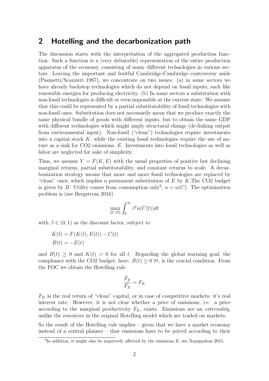### 2 Hotelling and the decarbonization path

The discussion starts with the interpretation of the aggregated production function. Such a function is a (very debatable) representation of the entire production apparatus of the economy, consisting of many different technologies in various sectors. Leaving the important and fruitful Cambridge-Cambridge controversy aside (Pasinetti/Scazzieri 1987), we concentrate on two issues: (a) in some sectors we have already backstop technologies which do not depend on fossil inputs, such like renewable energies for producing electricity. (b) In some sectors a substitution with non-fossil technologies is difficult or even impossible at the current state. We assume that this could be represented by a partial substitutability of fossil technologies with non-fossil ones. Substitution does not necessarily mean that we produce exactly the same physical bundle of goods with different inputs, but to obtain the same GDP with different technologies which might imply structural change (de-linking output from environmental input). Non-fossil ("clean") technologies require investments into a capital stock  $K$ , while the existing fossil technologies require the use of nature as a sink for CO2 emissions, E. Investments into fossil technologies as well as labor are neglected for sake of simplicity.

Thus, we assume  $Y = F(K, E)$  with the usual properties of positive but declining marginal returns, partial substitutability, and constant returns to scale. A decarbonization strategy means that more and more fossil technologies are replaced by "clean" ones, which implies a permanent substitution of  $E$  by  $K$ . The CO2 budget is given by B. Utility comes from consumption only<sup>2</sup>,  $u = u(C)$ . The optimization problem is (see Bergstrom 2016)

$$
\max_{\{C,E\}} \int_0^\infty \beta^t u(C(t)) dt
$$

with  $\beta \in (0, 1)$  as the discount factor, subject to

$$
\dot{K}(t) = F(K(t), E(t)) - C(t)
$$
  

$$
\dot{B}(t) = -E(t)
$$

and  $B(t) \geq 0$  and  $K(t) > 0$  for all t. Regarding the global warming goal, the compliance with the CO2 budget, here:  $B(t) \geq 0 \forall t$ , is the crucial condition. From the FOC we obtain the Hotelling rule

$$
\frac{\dot{F}_E}{F_E} = F_K
$$

 $F_K$  is the real return of "clean" capital, or in case of competitive markets: it's real interest rate. However, it is not clear whether a price of emissions, i.e. a price according to the marginal productivity  $F_E$ , exists. Emissions are an *externality*, unlike the resources in the original Hotelling model which are traded on markets.

So the result of the Hotelling rule implies – given that we have a market economy instead of a central planner – that emissions have to be priced according to their

<sup>&</sup>lt;sup>2</sup>In addition, it might also be negatively affected by the emissions  $E$ , see Xepapadeas 2015.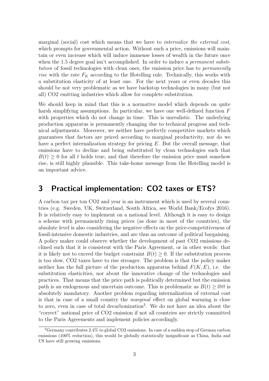marginal (social) cost which means that we have to *internalize the external cost*, which prompts for governmental action. Without such a price, emissions will maintain or even increase which will induce immense losses of wealth in the future once when the 1.5 degree goal isn't accomplished. In order to induce a *permanent substi*tution of fossil technologies with clean ones, the emission price has to *permanently* rise with the rate  $F_K$  according to the Hotelling rule. Technically, this works with a substitution elasticity of at least one. For the next years or even decades this should be not very problematic as we have backstop technologies in many (but not all) CO2 emitting industries which allow for complete substitution.

We should keep in mind that this is a normative model which depends on quite harsh simplifying assumptions. In particular, we have one well-defined function F with properties which do not change in time. This is unrealistic. The underlying production apparatus is permanently changing due to technical progress and technical adjustments. Moreover, we neither have perfectly competitive markets which guarantees that factors are priced according to marginal productivity, nor do we have a perfect internalization strategy for pricing  $E$ . But the overall message, that emissions have to decline and being substituted by clean technologies such that  $B(t) \geq 0$  for all t holds true, and that therefore the emission price must somehow rise, is still highly plausible. This take-home message from the Hotelling model is an important advice.

### 3 Practical implementation: CO2 taxes or ETS?

A carbon tax per ton CO2 and year is an instrument which is used by several countries (e.g. Sweden, UK, Switzerland, South Africa, see World Bank/Ecofys 2016). It is relatively easy to implement on a national level. Although it is easy to design a scheme with permanently rising prices (as done in most of the countries), the absolute level is also considering the negative effects on the price-competitiveness of fossil-intensive domestic industries, and are thus an outcome of political bargaining. A policy maker could observe whether the development of past CO2 emissions declined such that it is consistent with the Paris Agreement, or in other words: that it is likely not to exceed the budget constraint  $B(t) \geq 0$ . If the substitution process is too slow, CO2 taxes have to rise stronger. The problem is that the policy maker neither has the full picture of the production apparatus behind  $F(K, E)$ , i.e. the substitution elasticities, nor about the innovative change of the technologies and practices. That means that the price path is politically determined but the emission path is an endogenous and uncertain outcome. This is problematic as  $B(t) > 0 \forall t$  is absolutely mandatory. Another problem regarding internalization of external cost is that in case of a small country the marginal effect on global warming is close to zero, even in case of total decarbonization<sup>3</sup>. We do not have an idea about the "correct" national price of CO2 emission if not all countries are strictly committed to the Paris Agreements and implement policies accordingly.

 $3$ Germany contributes 2.4% to global CO2 emissions. In case of a sudden stop of German carbon emissions (100% reduction), this would be globally statistically insignificant as China, India and US have still growing emissions.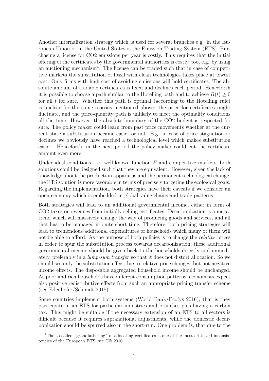Another internalization strategy which is used for several branches e.g. in the European Union or in the United States is the Emission Trading System (ETS). Purchasing a license for CO2 emissions per year is costly. This requires that the initial offering of the certificates by the governmental authorities is costly, too, e.g. by using an auctioning mechanism<sup>4</sup>. The license can be traded such that in case of competitive markets the substitution of fossil with clean technologies takes place at lowest cost. Only firms with high cost of avoiding emissions will hold certificates. The absolute amount of tradable certificates is fixed and declines each period. Henceforth it is possible to choose a path similar to the Hotelling path and to achieve  $B(t) \geq 0$ for all  $t$  for sure. Whether this path is optimal (according to the Hotelling rule) is unclear for the same reasons mentioned above: the price for certificates might fluctuate, and the price-quantity path is unlikely to meet the optimality conditions all the time. However, the absolute boundary of the CO2 budget is respected for sure. The policy maker could learn from past price movements whether at the current state a substitution became easier or not. E.g. in case of price stagnation or declines we obviously have reached a technological level which makes substitution easier. Henceforth, in the next period the policy maker could cut the certificate amount even more.

Under ideal conditions, i.e. well-known function  $F$  and competitive markets, both solutions could be designed such that they are equivalent. However, given the lack of knowledge about the production apparatus and the permanent technological change, the ETS solution is more favorable in terms of precisely targeting the ecological goals. Regarding the implementation, both strategies have their caveats if we consider an open economy which is embedded in global value chains and trade patterns.

Both strategies will lead to an additional governmental income, either in form of CO2 taxes or revenues from initially selling certificates. Decarbonization is a megatrend which will massively change the way of producing goods and services, and all that has to be managed in quite short time. Therefore, both pricing strategies will lead to tremendous additional expenditures of households which many of them will not be able to afford. As the purpose of both policies is to change the *relative* prices in order to spur the substitution process towards decarbonization, these additional governmental income should be given back to the households directly and immediately, preferably in a lump-sum transfer so that it does not distort allocation. So we should see only the substitution effect due to relative price changes, but not negative income effects. The disposable aggregated household income should be unchanged. As poor and rich households have different consumption patterns, economists expect also positive redistributive effects from such an appropriate pricing-transfer scheme (see Edenhofer/Schmidt 2018).

Some countries implement both systems (World Bank/Ecofys 2016), that is they participate in an ETS for particular industries and branches plus having a carbon tax. This might be suitable if the necessary extension of an ETS to all sectors is difficult because it requires supranational adjustments, while the domestic decarbonization should be spurred also in the short-run. One problem is, that due to the

<sup>&</sup>lt;sup>4</sup>The so-called "grandfathering" of allocating certificates is one of the most criticized inconsistencies of the European ETS, see Clò 2010.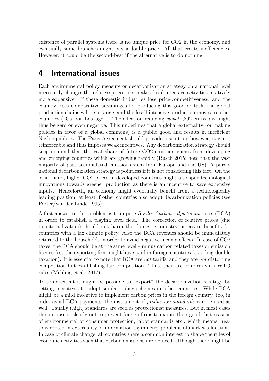existence of parallel systems there is no unique price for CO2 in the economy, and eventually some branches might pay a double price. All that create inefficiencies. However, it could be the second-best if the alternative is to do nothing.

## 4 International issues

Each environmental policy measure or decarbonization strategy on a national level necessarily changes the relative prices, i.e. makes fossil-intensive activities relatively more expensive. If these domestic industries lose price-competitiveness, and the country loses comparative advantages for producing this good or task, the global production chains will re-arrange, and the fossil-intensive production moves to other countries ("Carbon Leakage"). The effect on reducing global CO2 emissions might thus be zero or even negative. This underlines that a global externality (or making policies in favor of a global commons) is a public good and results in inefficient Nash equilibria. The Paris Agreement should provide a solution, however, it is not reinforcable and thus imposes weak incentives. Any decarbonization strategy should keep in mind that the vast share of future CO2 emission comes from developing and emerging countries which are growing rapidly (Busch 2015; note that the vast majority of past accumulated emissions stem from Europe and the US). A purely national decarbonization strategy is pointless if it is not considering this fact. On the other hand, higher CO2 prices in developed countries might also spur technological innovations towards greener production as there is an incentive to save expensive inputs. Henceforth, an economy might eventually benefit from a technologically leading position, at least if other countries also adopt decarbonization policies (see Porter/van der Linde 1995).

A first answer to this problem is to impose Border Carbon Adjustment taxes (BCA) in order to establish a playing level field. The correction of relative prices (due to internalization) should not harm the domestic industry or create benefits for countries with a lax climate policy. Also the BCA revenues should be immediately returned to the households in order to avoid negative income effects. In case of CO2 taxes, the BCA should be at the same level – minus carbon related taxes or emission licence fees the exporting firm might have paid in foreign countries (avoiding double taxation). It is essential to note that BCA are not tariffs, and they are not distorting competition but establishing fair competition. Thus, they are conform with WTO rules (Mehling et al. 2017).

To some extent it might be possible to "export" the decarbonization strategy by setting incentives to adopt similar policy schemes in other countries. While BCA might be a mild incentive to implement carbon prices in the foreign country, too, in order avoid BCA payments, the instrument of production standards can be used as well. Usually (high) standards are seen as protectionist measures. But in most cases the purpose is clearly not to prevent foreign firms to export their goods but reasons of environmental or consumer protection, labor standards etc., which means: reasons rooted in externality or information asymmetry problems of market allocation. In case of climate change, all countries share a common interest to shape the rules of economic activities such that carbon emissions are reduced, although there might be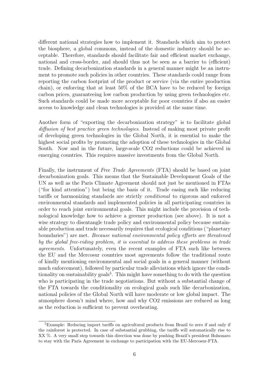different national strategies how to implement it. Standards which aim to protect the biosphere, a global commons, instead of the domestic industry should be acceptable. Therefore, standards should facilitate fair and efficient market exchange, national and cross-border, and should thus not be seen as a barrier to (efficient) trade. Defining decarbonization standards in a general manner might be an instrument to promote such policies in other countries. These standards could range from reporting the carbon footprint of the product or service (via the entire production chain), or enforcing that at least 50% of the BCA have to be reduced by foreign carbon prices, guaranteeing low carbon production by using green technologies etc. Such standards could be made more acceptable for poor countries if also an easier access to knowledge and clean technologies is provided at the same time.

Another form of "exporting the decarbonization strategy" is to facilitate global diffusion of best practice green technologies. Instead of making most private profit of developing green technologies in the Global North, it is essential to make the highest social profits by promoting the adoption of these technologies in the Global South. Now and in the future, large-scale CO2 reductions could be achieved in emerging countries. This requires massive investments from the Global North.

Finally, the instrument of Free Trade Agreements (FTA) should be based on joint decarbonization goals. This means that the Sustainable Development Goals of the UN as well as the Paris Climate Agreement should not just be mentioned in FTAs ("for kind attention") but being the basis of it. Trade easing such like reducing tariffs or harmonizing standards are strictly conditional to rigorous and enforced environmental standards and implemented policies in all participating countries in order to reach joint environmental goals. This might include the provision of technological knowledge how to achieve a greener production (see above). It is not a wise strategy to disentangle trade policy and environmental policy because sustainable production and trade necessarily requires that ecological conditions ("planetary boundaries") are met. *Because national environmental policy efforts are threatened* by the global free-riding problem, it is essential to address these problems in trade agreements. Unfortunately, even the recent examples of FTA such like between the EU and the Mercosur countries most agreements follow the traditional route of kindly mentioning environmental and social goals in a general manner (without much enforcement), followed by particular trade alleviations which ignore the conditionality on sustainability goals<sup>5</sup>. This might have something to do with the question who is participating in the trade negotiations. But without a substantial change of the FTA towards the conditionality on ecological goals such like decarbonization, national policies of the Global North will have moderate or low global impact. The atmosphere doesn't mind where, how and why CO2 emissions are reduced as long as the reduction is sufficient to prevent overheating.

<sup>&</sup>lt;sup>5</sup>Example: Reducing import tariffs on agricultural products from Brazil to zero if and only if the rainforest is protected. In case of substantial grubbing, the tariffs will automatically rise to XX %. A very small step towards this direction was done by pushing Brazil's president Bolsonaro to stay with the Paris Agreement in exchange to participation with the EU-Mercosur-FTA.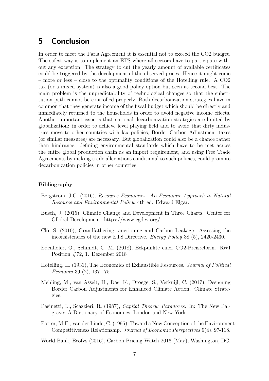## 5 Conclusion

In order to meet the Paris Agreement it is essential not to exceed the CO2 budget. The safest way is to implement an ETS where all sectors have to participate without any exception. The strategy to cut the yearly amount of available certificates could be triggered by the development of the observed prices. Hence it might come – more or less – close to the optimality conditions of the Hotelling rule. A CO2 tax (or a mixed system) is also a good policy option but seen as second-best. The main problem is the unpredictability of technological changes so that the substitution path cannot be controlled properly. Both decarbonization strategies have in common that they generate income of the fiscal budget which should be directly and immediately returned to the households in order to avoid negative income effects. Another important issue is that national decarbonization strategies are limited by globalization: in order to achieve level playing field and to avoid that dirty industries move to other countries with lax policies, Border Carbon Adjustment taxes (or similar measures) are necessary. But globalization could also be a chance rather than hindrance: defining environmental standards which have to be met across the entire global production chain as an import requirement, and using Free Trade Agreements by making trade alleviations conditional to such policies, could promote decarbonization policies in other countries.

#### Bibliography

- Bergstrom, J.C. (2016), Resource Economics. An Economic Approach to Natural Resource and Environmental Policy, 4th ed. Edward Elgar.
- Busch, J. (2015), Climate Change and Development in Three Charts. Center for Gllobal Development. https://www.cgdev.org/
- Clò, S. (2010), Grandfathering, auctioning and Carbon Leakage: Assessing the inconsistencies of the new ETS Directive. Energy Policy 38 (5), 2420-2430.
- Edenhofer, O., Schmidt, C. M. (2018), Eckpunkte einer CO2-Preisreform. RWI Position #72, 1. Dezember 2018
- Hotelling, H. (1931), The Economics of Exhaustible Resources. Journal of Political Economy 39 (2), 137-175.
- Mehling, M., van Asselt, H., Das, K., Droege, S., Verkuijl, C. (2017), Designing Border Carbon Adjustments for Enhanced Climate Action. Climate Strategies.
- Pasinetti, L., Scazzieri, R. (1987), Capital Theory: Paradoxes. In: The New Palgrave: A Dictionary of Economics, London and New York.
- Porter, M.E., van der Linde, C. (1995), Toward a New Conception of the Environment-Competitiveness Relationship. Journal of Economic Perspectives 9(4), 97-118.

World Bank, Ecofys (2016), Carbon Pricing Watch 2016 (May), Washington, DC.